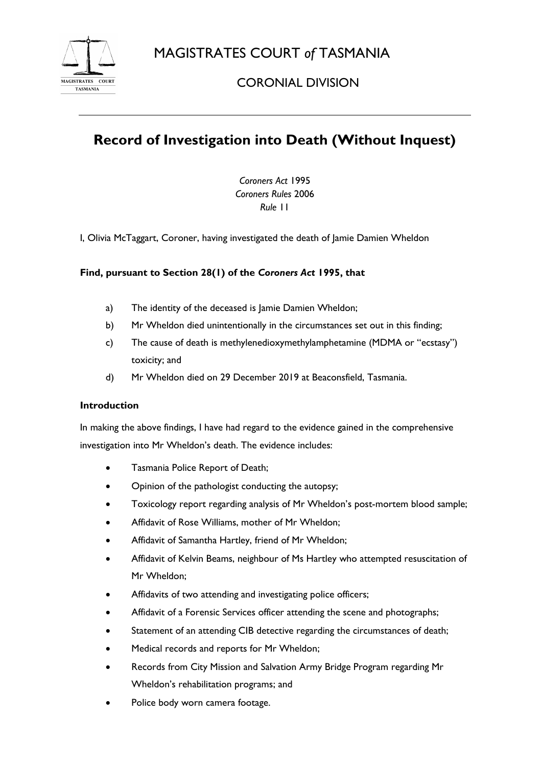MAGISTRATES COURT *of* TASMANIA



CORONIAL DIVISION

# **Record of Investigation into Death (Without Inquest)**

*Coroners Act* 1995 *Coroners Rules* 2006 *Rule* 11

I, Olivia McTaggart, Coroner, having investigated the death of Jamie Damien Wheldon

# **Find, pursuant to Section 28(1) of the** *Coroners Act* **1995, that**

- a) The identity of the deceased is Jamie Damien Wheldon;
- b) Mr Wheldon died unintentionally in the circumstances set out in this finding;
- c) The cause of death is methylenedioxymethylamphetamine (MDMA or "ecstasy") toxicity; and
- d) Mr Wheldon died on 29 December 2019 at Beaconsfield, Tasmania.

## **Introduction**

In making the above findings, I have had regard to the evidence gained in the comprehensive investigation into Mr Wheldon's death. The evidence includes:

- Tasmania Police Report of Death;
- Opinion of the pathologist conducting the autopsy;
- Toxicology report regarding analysis of Mr Wheldon's post-mortem blood sample;
- Affidavit of Rose Williams, mother of Mr Wheldon;
- Affidavit of Samantha Hartley, friend of Mr Wheldon;
- Affidavit of Kelvin Beams, neighbour of Ms Hartley who attempted resuscitation of Mr Wheldon;
- Affidavits of two attending and investigating police officers;
- Affidavit of a Forensic Services officer attending the scene and photographs;
- Statement of an attending CIB detective regarding the circumstances of death;
- Medical records and reports for Mr Wheldon;
- Records from City Mission and Salvation Army Bridge Program regarding Mr Wheldon's rehabilitation programs; and
- Police body worn camera footage.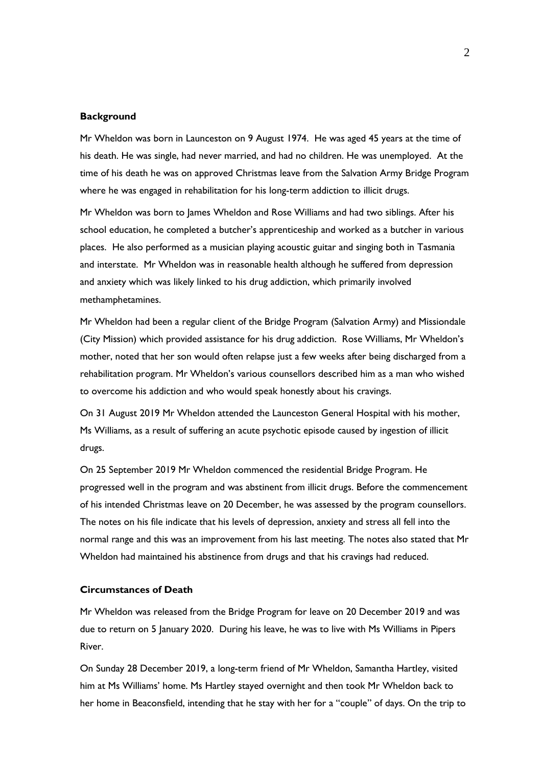### **Background**

Mr Wheldon was born in Launceston on 9 August 1974. He was aged 45 years at the time of his death. He was single, had never married, and had no children. He was unemployed. At the time of his death he was on approved Christmas leave from the Salvation Army Bridge Program where he was engaged in rehabilitation for his long-term addiction to illicit drugs.

Mr Wheldon was born to James Wheldon and Rose Williams and had two siblings. After his school education, he completed a butcher's apprenticeship and worked as a butcher in various places. He also performed as a musician playing acoustic guitar and singing both in Tasmania and interstate. Mr Wheldon was in reasonable health although he suffered from depression and anxiety which was likely linked to his drug addiction, which primarily involved methamphetamines.

Mr Wheldon had been a regular client of the Bridge Program (Salvation Army) and Missiondale (City Mission) which provided assistance for his drug addiction. Rose Williams, Mr Wheldon's mother, noted that her son would often relapse just a few weeks after being discharged from a rehabilitation program. Mr Wheldon's various counsellors described him as a man who wished to overcome his addiction and who would speak honestly about his cravings.

On 31 August 2019 Mr Wheldon attended the Launceston General Hospital with his mother, Ms Williams, as a result of suffering an acute psychotic episode caused by ingestion of illicit drugs.

On 25 September 2019 Mr Wheldon commenced the residential Bridge Program. He progressed well in the program and was abstinent from illicit drugs. Before the commencement of his intended Christmas leave on 20 December, he was assessed by the program counsellors. The notes on his file indicate that his levels of depression, anxiety and stress all fell into the normal range and this was an improvement from his last meeting. The notes also stated that Mr Wheldon had maintained his abstinence from drugs and that his cravings had reduced.

#### **Circumstances of Death**

Mr Wheldon was released from the Bridge Program for leave on 20 December 2019 and was due to return on 5 January 2020. During his leave, he was to live with Ms Williams in Pipers River.

On Sunday 28 December 2019, a long-term friend of Mr Wheldon, Samantha Hartley, visited him at Ms Williams' home. Ms Hartley stayed overnight and then took Mr Wheldon back to her home in Beaconsfield, intending that he stay with her for a "couple" of days. On the trip to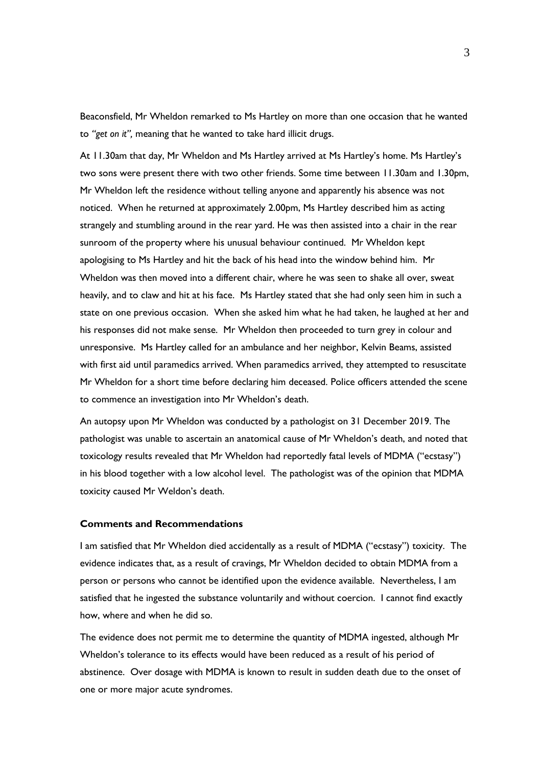Beaconsfield, Mr Wheldon remarked to Ms Hartley on more than one occasion that he wanted to *"get on it",* meaning that he wanted to take hard illicit drugs.

At 11.30am that day, Mr Wheldon and Ms Hartley arrived at Ms Hartley's home. Ms Hartley's two sons were present there with two other friends. Some time between 11.30am and 1.30pm, Mr Wheldon left the residence without telling anyone and apparently his absence was not noticed. When he returned at approximately 2.00pm, Ms Hartley described him as acting strangely and stumbling around in the rear yard. He was then assisted into a chair in the rear sunroom of the property where his unusual behaviour continued. Mr Wheldon kept apologising to Ms Hartley and hit the back of his head into the window behind him. Mr Wheldon was then moved into a different chair, where he was seen to shake all over, sweat heavily, and to claw and hit at his face. Ms Hartley stated that she had only seen him in such a state on one previous occasion. When she asked him what he had taken, he laughed at her and his responses did not make sense. Mr Wheldon then proceeded to turn grey in colour and unresponsive. Ms Hartley called for an ambulance and her neighbor, Kelvin Beams, assisted with first aid until paramedics arrived. When paramedics arrived, they attempted to resuscitate Mr Wheldon for a short time before declaring him deceased. Police officers attended the scene to commence an investigation into Mr Wheldon's death.

An autopsy upon Mr Wheldon was conducted by a pathologist on 31 December 2019. The pathologist was unable to ascertain an anatomical cause of Mr Wheldon's death, and noted that toxicology results revealed that Mr Wheldon had reportedly fatal levels of MDMA ("ecstasy") in his blood together with a low alcohol level. The pathologist was of the opinion that MDMA toxicity caused Mr Weldon's death.

#### **Comments and Recommendations**

I am satisfied that Mr Wheldon died accidentally as a result of MDMA ("ecstasy") toxicity. The evidence indicates that, as a result of cravings, Mr Wheldon decided to obtain MDMA from a person or persons who cannot be identified upon the evidence available. Nevertheless, I am satisfied that he ingested the substance voluntarily and without coercion. I cannot find exactly how, where and when he did so.

The evidence does not permit me to determine the quantity of MDMA ingested, although Mr Wheldon's tolerance to its effects would have been reduced as a result of his period of abstinence. Over dosage with MDMA is known to result in sudden death due to the onset of one or more major acute syndromes.